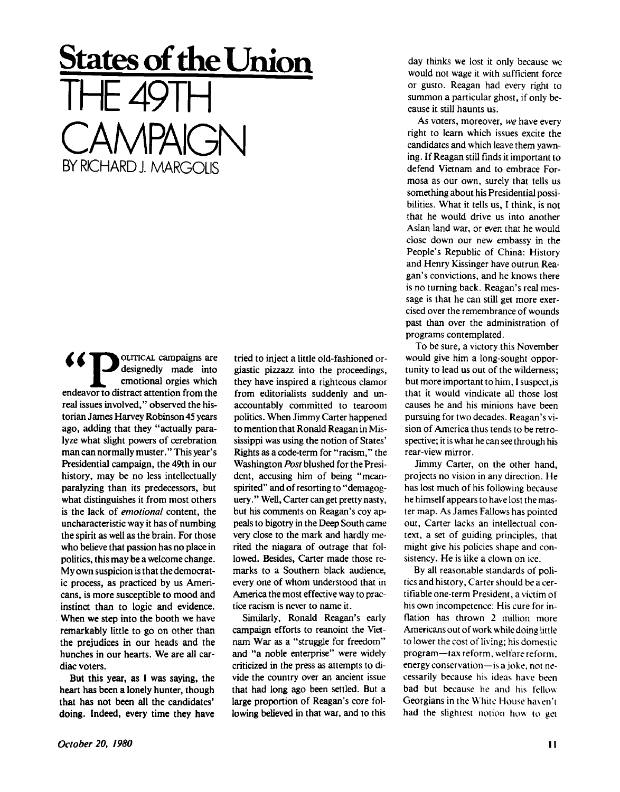## **States of the Union**   $THE 491H$ BY RICHARD I. MARGOLIS BY RICHARD J. MARGOLIS

 $\blacktriangle$  OLITICAL campaigns are <sup>*I*</sup> designedly made into emotional orgies which endeavor to distract attention from the real issues involved," observed the historian James Harvey Robinson 45 years ago, adding that they "actually paralyze what slight powers of cerebration man can normally muster." This year's Presidential campaign, the 49th in our history, may be no less intellectually paralyzing than its predecessors, but what distinguishes it from most others is the lack of *emotional* content, the uncharacteristic way it has of numbing the spirit as well as the brain. For those who believe that passion has no place in politics, this may be a welcome change. My own suspicion is that the democratic process, as practiced by us Americans, is more susceptible to mood and instinct than to logic and evidence. When we step into the booth we have remarkably little to go on other than the prejudices in our heads and the hunches in our hearts. We are all cardiac voters.

But this year, as I was saying, the heart has been a lonely hunter, though that has not been all the candidates' doing. Indeed, every time they have

tried to inject a little old-fashioned orgiastic pizzazz into the proceedings, they have inspired a righteous clamor from editorialists suddenly and unaccountably committed to tearoom politics. When Jimmy Carter happened to mention that Ronald Reagan in Mississippi was using the notion of States' Rights as a code-term for "racism," the Washington *Post* blushed for the President, accusing him of being "meanspirited" and of resorting to "demagoguery." Well, Carter can get pretty nasty, but his comments on Reagan's coy appeals to bigotry in the Deep South came very close to the mark and hardly merited the niagara of outrage that followed. Besides, Carter made those remarks to a Southern black audience, every one of whom understood that in America the most effective way to practice racism is never to name it.

Similarly, Ronald Reagan's early campaign efforts to reanoint the Vietnam War as a "struggle for freedom" and "a noble enterprise" were widely criticized in the press as attempts to divide the country over an ancient issue that had long ago been settled. But a large proportion of Reagan's core following believed in that war, and to this

day thinks we lost it only because we would not wage it with sufficient force or gusto. Reagan had every right to summon a particular ghost, if only because it still haunts us.

As voters, moreover, *we* have every right to learn which issues excite the candidates and which leave them yawning. If Reagan still finds it important to defend Vietnam and to embrace Formosa as our own, surely that tells us something about his Presidential possibilities. What it tells us, I think, is not that he would drive us into another Asian land war, or even that he would close down our new embassy in the People's Republic of China: History and Henry Kissinger have outrun Reagan's convictions, and he knows there is no turning back. Reagan's real message is that he can still get more exercised over the remembrance of wounds past than over the administration of programs contemplated.

To be sure, a victory this November would give him a long-sought opportunity to lead us out of the wilderness; but more important to him, I suspect,is that it would vindicate all those lost causes he and his minions have been pursuing for two decades. Reagan's vision of America thus tends to be retrospective; it is what he can see through his rear-view mirror.

Jimmy Carter, on the other hand, projects no vision in any direction. He has lost much of his following because he himself appears to have lost the master map. As James Fallows has pointed out, Carter lacks an intellectual context, a set of guiding principles, that might give his policies shape and consistency. He is like a clown on ice.

By all reasonable standards of politics and history, Carter should be a certifiable one-term President, a victim of his own incompetence: His cure for inflation has thrown 2 million more Americans out of work while doing little to lower the cost of living; his domestic program—tax reform, welfare reform, energy conservation—isajoke, not necessarily because his ideas have been bad but because he and his fellow Georgians in the White House haven't had the slightest notion how to get